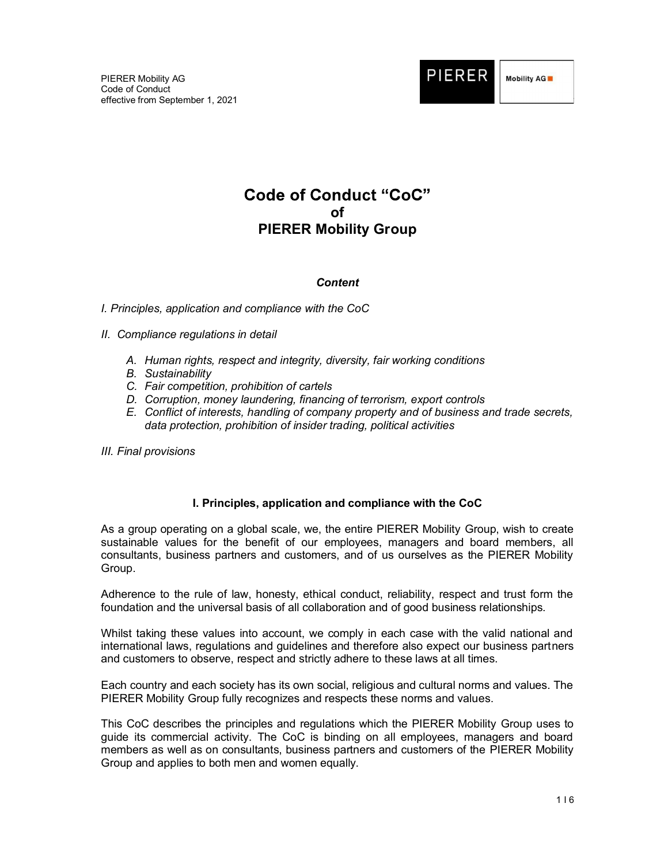

# **Code of Conduct "CoC"** of PIERER Mobility Group

## **Content**

## I. Principles, application and compliance with the CoC

- II. Compliance regulations in detail
	- A. Human rights, respect and integrity, diversity, fair working conditions
	- B. Sustainability
	- C. Fair competition, prohibition of cartels
	- D. Corruption, money laundering, financing of terrorism, export controls
	- E. Conflict of interests, handling of company property and of business and trade secrets, data protection, prohibition of insider trading, political activities
- III. Final provisions

## I. Principles, application and compliance with the CoC

As a group operating on a global scale, we, the entire PIERER Mobility Group, wish to create sustainable values for the benefit of our employees, managers and board members, all consultants, business partners and customers, and of us ourselves as the PIERER Mobility Group.

Adherence to the rule of law, honesty, ethical conduct, reliability, respect and trust form the foundation and the universal basis of all collaboration and of good business relationships.

Whilst taking these values into account, we comply in each case with the valid national and international laws, regulations and guidelines and therefore also expect our business partners and customers to observe, respect and strictly adhere to these laws at all times.

Each country and each society has its own social, religious and cultural norms and values. The PIERER Mobility Group fully recognizes and respects these norms and values.

This CoC describes the principles and regulations which the PIERER Mobility Group uses to guide its commercial activity. The CoC is binding on all employees, managers and board members as well as on consultants, business partners and customers of the PIERER Mobility Group and applies to both men and women equally.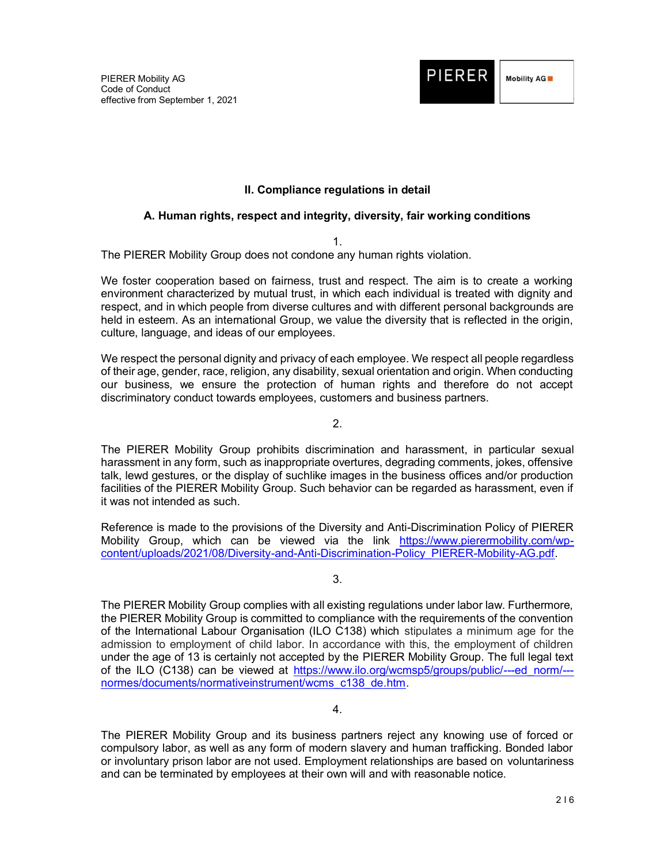

## II. Compliance regulations in detail

## A. Human rights, respect and integrity, diversity, fair working conditions

1.

The PIERER Mobility Group does not condone any human rights violation.

We foster cooperation based on fairness, trust and respect. The aim is to create a working environment characterized by mutual trust, in which each individual is treated with dignity and respect, and in which people from diverse cultures and with different personal backgrounds are held in esteem. As an international Group, we value the diversity that is reflected in the origin, culture, language, and ideas of our employees.

We respect the personal dignity and privacy of each employee. We respect all people regardless of their age, gender, race, religion, any disability, sexual orientation and origin. When conducting our business, we ensure the protection of human rights and therefore do not accept discriminatory conduct towards employees, customers and business partners.

 $\mathcal{P}$ 

The PIERER Mobility Group prohibits discrimination and harassment, in particular sexual harassment in any form, such as inappropriate overtures, degrading comments, jokes, offensive talk, lewd gestures, or the display of suchlike images in the business offices and/or production facilities of the PIERER Mobility Group. Such behavior can be regarded as harassment, even if it was not intended as such.

Reference is made to the provisions of the Diversity and Anti-Discrimination Policy of PIERER Mobility Group, which can be viewed via the link https://www.pierermobility.com/wpcontent/uploads/2021/08/Diversity-and-Anti-Discrimination-Policy\_PIERER-Mobility-AG.pdf.

3.

The PIERER Mobility Group complies with all existing regulations under labor law. Furthermore, the PIERER Mobility Group is committed to compliance with the requirements of the convention of the International Labour Organisation (ILO C138) which stipulates a minimum age for the admission to employment of child labor. In accordance with this, the employment of children under the age of 13 is certainly not accepted by the PIERER Mobility Group. The full legal text of the ILO (C138) can be viewed at https://www.ilo.org/wcmsp5/groups/public/---ed\_norm/-- normes/documents/normativeinstrument/wcms\_c138\_de.htm.

4.

The PIERER Mobility Group and its business partners reject any knowing use of forced or compulsory labor, as well as any form of modern slavery and human trafficking. Bonded labor or involuntary prison labor are not used. Employment relationships are based on voluntariness and can be terminated by employees at their own will and with reasonable notice.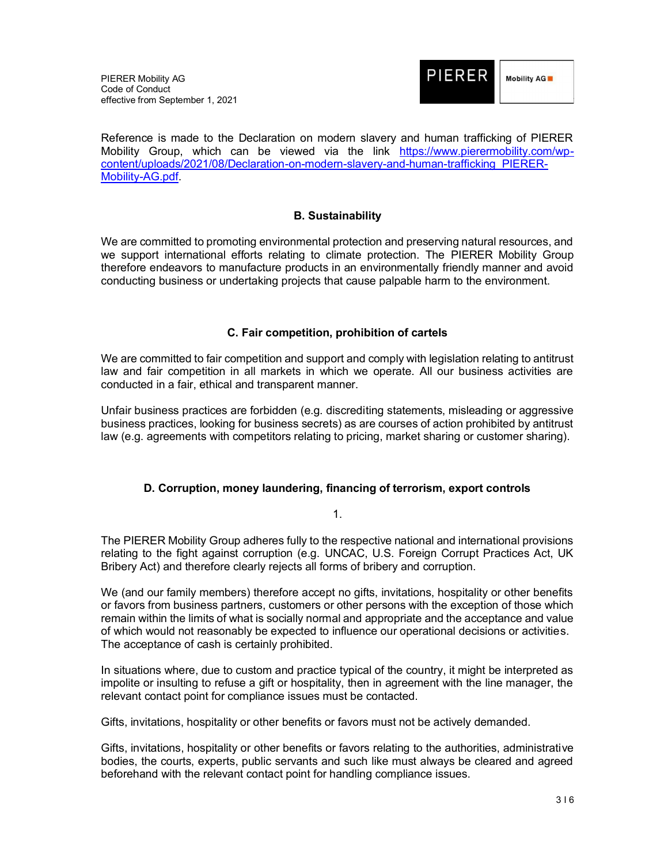

Reference is made to the Declaration on modern slavery and human trafficking of PIERER Mobility Group, which can be viewed via the link https://www.pierermobility.com/wpcontent/uploads/2021/08/Declaration-on-modern-slavery-and-human-trafficking\_PIERER-Mobility-AG.pdf.

## B. Sustainability

We are committed to promoting environmental protection and preserving natural resources, and we support international efforts relating to climate protection. The PIERER Mobility Group therefore endeavors to manufacture products in an environmentally friendly manner and avoid conducting business or undertaking projects that cause palpable harm to the environment.

## C. Fair competition, prohibition of cartels

We are committed to fair competition and support and comply with legislation relating to antitrust law and fair competition in all markets in which we operate. All our business activities are conducted in a fair, ethical and transparent manner.

Unfair business practices are forbidden (e.g. discrediting statements, misleading or aggressive business practices, looking for business secrets) as are courses of action prohibited by antitrust law (e.g. agreements with competitors relating to pricing, market sharing or customer sharing).

## D. Corruption, money laundering, financing of terrorism, export controls

1.

The PIERER Mobility Group adheres fully to the respective national and international provisions relating to the fight against corruption (e.g. UNCAC, U.S. Foreign Corrupt Practices Act, UK Bribery Act) and therefore clearly rejects all forms of bribery and corruption.

We (and our family members) therefore accept no gifts, invitations, hospitality or other benefits or favors from business partners, customers or other persons with the exception of those which remain within the limits of what is socially normal and appropriate and the acceptance and value of which would not reasonably be expected to influence our operational decisions or activities. The acceptance of cash is certainly prohibited.

In situations where, due to custom and practice typical of the country, it might be interpreted as impolite or insulting to refuse a gift or hospitality, then in agreement with the line manager, the relevant contact point for compliance issues must be contacted.

Gifts, invitations, hospitality or other benefits or favors must not be actively demanded.

Gifts, invitations, hospitality or other benefits or favors relating to the authorities, administrative bodies, the courts, experts, public servants and such like must always be cleared and agreed beforehand with the relevant contact point for handling compliance issues.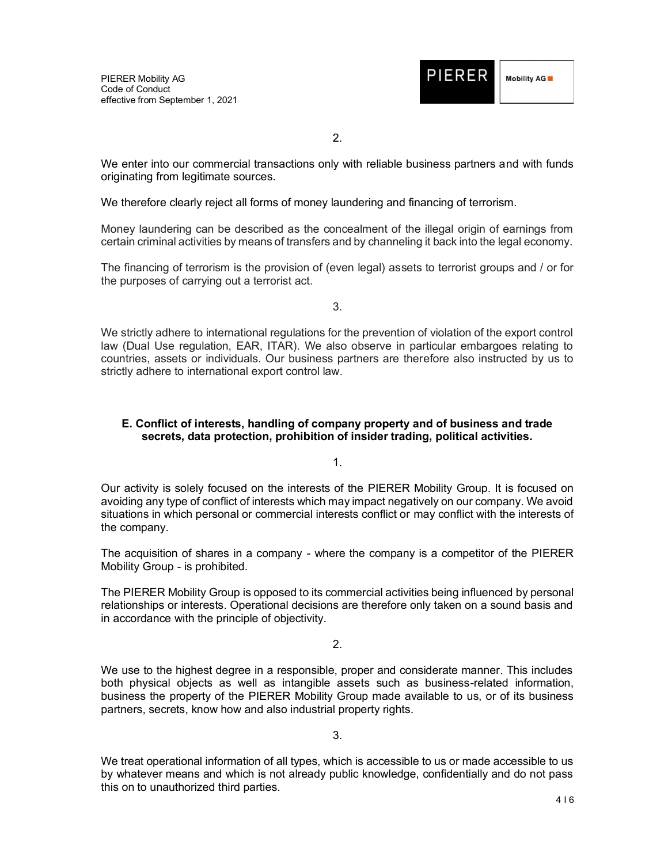

2.

We enter into our commercial transactions only with reliable business partners and with funds originating from legitimate sources.

We therefore clearly reject all forms of money laundering and financing of terrorism.

Money laundering can be described as the concealment of the illegal origin of earnings from certain criminal activities by means of transfers and by channeling it back into the legal economy.

The financing of terrorism is the provision of (even legal) assets to terrorist groups and / or for the purposes of carrying out a terrorist act.

3.

We strictly adhere to international regulations for the prevention of violation of the export control law (Dual Use regulation, EAR, ITAR). We also observe in particular embargoes relating to countries, assets or individuals. Our business partners are therefore also instructed by us to strictly adhere to international export control law.

## E. Conflict of interests, handling of company property and of business and trade secrets, data protection, prohibition of insider trading, political activities.

1.

Our activity is solely focused on the interests of the PIERER Mobility Group. It is focused on avoiding any type of conflict of interests which may impact negatively on our company. We avoid situations in which personal or commercial interests conflict or may conflict with the interests of the company.

The acquisition of shares in a company - where the company is a competitor of the PIERER Mobility Group - is prohibited.

The PIERER Mobility Group is opposed to its commercial activities being influenced by personal relationships or interests. Operational decisions are therefore only taken on a sound basis and in accordance with the principle of objectivity.

2.

We use to the highest degree in a responsible, proper and considerate manner. This includes both physical objects as well as intangible assets such as business-related information, business the property of the PIERER Mobility Group made available to us, or of its business partners, secrets, know how and also industrial property rights.

3.

We treat operational information of all types, which is accessible to us or made accessible to us by whatever means and which is not already public knowledge, confidentially and do not pass this on to unauthorized third parties.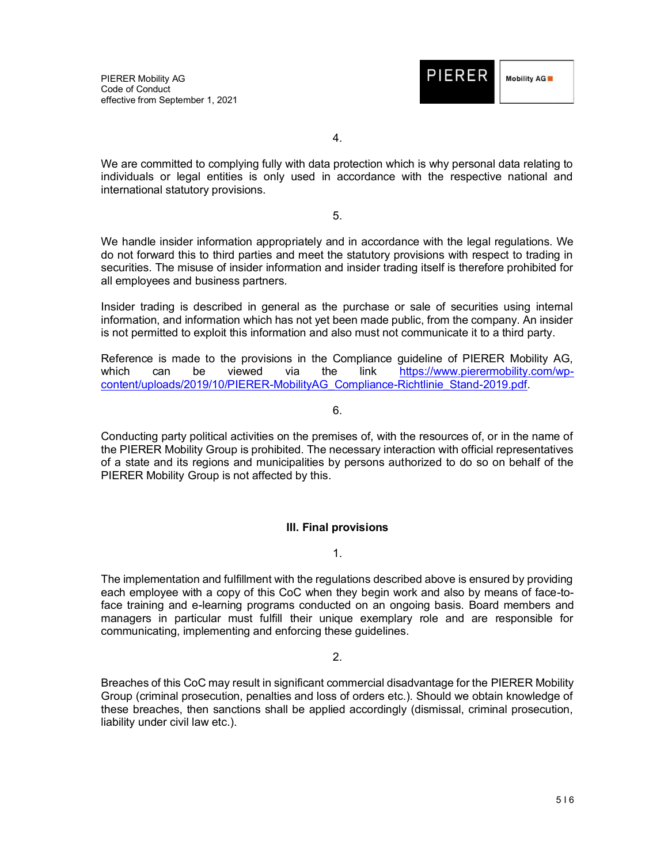

4.

We are committed to complying fully with data protection which is why personal data relating to individuals or legal entities is only used in accordance with the respective national and international statutory provisions.

5.

We handle insider information appropriately and in accordance with the legal regulations. We do not forward this to third parties and meet the statutory provisions with respect to trading in securities. The misuse of insider information and insider trading itself is therefore prohibited for all employees and business partners.

Insider trading is described in general as the purchase or sale of securities using internal information, and information which has not yet been made public, from the company. An insider is not permitted to exploit this information and also must not communicate it to a third party.

Reference is made to the provisions in the Compliance guideline of PIERER Mobility AG, which can be viewed via the link https://www.pierermobility.com/wpcontent/uploads/2019/10/PIERER-MobilityAG\_Compliance-Richtlinie\_Stand-2019.pdf.

6.

Conducting party political activities on the premises of, with the resources of, or in the name of the PIERER Mobility Group is prohibited. The necessary interaction with official representatives of a state and its regions and municipalities by persons authorized to do so on behalf of the PIERER Mobility Group is not affected by this.

## III. Final provisions

1.

The implementation and fulfillment with the regulations described above is ensured by providing each employee with a copy of this CoC when they begin work and also by means of face-toface training and e-learning programs conducted on an ongoing basis. Board members and managers in particular must fulfill their unique exemplary role and are responsible for communicating, implementing and enforcing these guidelines.

2.

Breaches of this CoC may result in significant commercial disadvantage for the PIERER Mobility Group (criminal prosecution, penalties and loss of orders etc.). Should we obtain knowledge of these breaches, then sanctions shall be applied accordingly (dismissal, criminal prosecution, liability under civil law etc.).